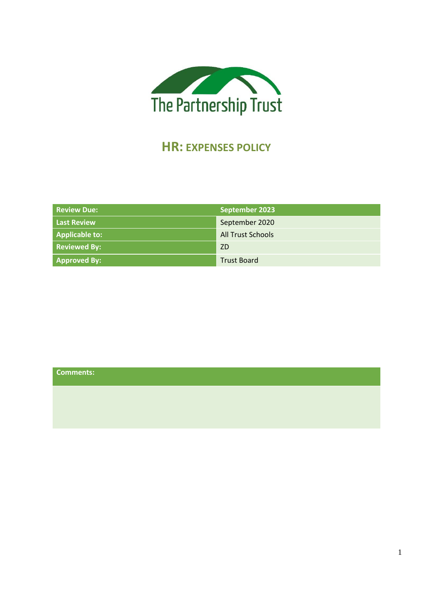

# **HR: EXPENSES POLICY**

| <b>Review Due:</b>  | September 2023           |
|---------------------|--------------------------|
| <b>Last Review</b>  | September 2020           |
| Applicable to:      | <b>All Trust Schools</b> |
| <b>Reviewed By:</b> | <b>ZD</b>                |
| Approved By:        | <b>Trust Board</b>       |

| Comments: |  |  |  |
|-----------|--|--|--|
|           |  |  |  |
|           |  |  |  |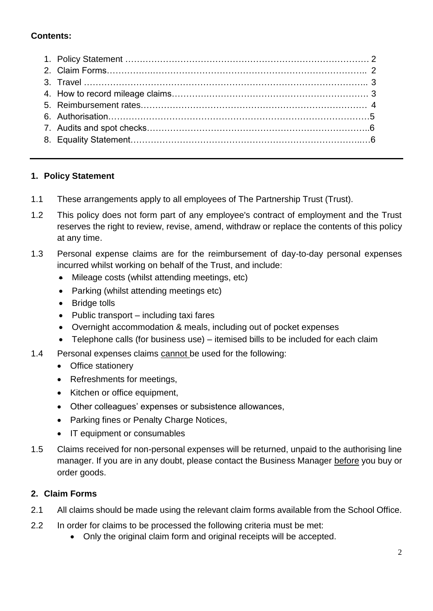# **Contents:**

## **1. Policy Statement**

- 1.1 These arrangements apply to all employees of The Partnership Trust (Trust).
- 1.2 This policy does not form part of any employee's contract of employment and the Trust reserves the right to review, revise, amend, withdraw or replace the contents of this policy at any time.
- 1.3 Personal expense claims are for the reimbursement of day-to-day personal expenses incurred whilst working on behalf of the Trust, and include:
	- Mileage costs (whilst attending meetings, etc)
	- Parking (whilst attending meetings etc)
	- Bridge tolls
	- Public transport including taxi fares
	- Overnight accommodation & meals, including out of pocket expenses
	- Telephone calls (for business use) itemised bills to be included for each claim
- 1.4 Personal expenses claims cannot be used for the following:
	- Office stationery
	- Refreshments for meetings,
	- Kitchen or office equipment,
	- Other colleagues' expenses or subsistence allowances,
	- Parking fines or Penalty Charge Notices,
	- IT equipment or consumables
- 1.5 Claims received for non-personal expenses will be returned, unpaid to the authorising line manager. If you are in any doubt, please contact the Business Manager before you buy or order goods.

## **2. Claim Forms**

- 2.1 All claims should be made using the relevant claim forms available from the School Office.
- 2.2 In order for claims to be processed the following criteria must be met:
	- Only the original claim form and original receipts will be accepted.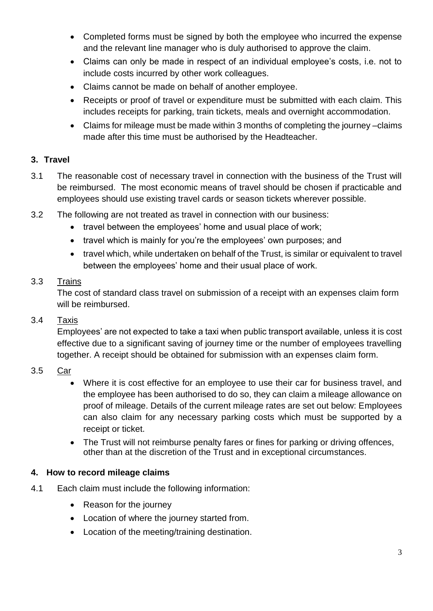- Completed forms must be signed by both the employee who incurred the expense and the relevant line manager who is duly authorised to approve the claim.
- Claims can only be made in respect of an individual employee's costs, i.e. not to include costs incurred by other work colleagues.
- Claims cannot be made on behalf of another employee.
- Receipts or proof of travel or expenditure must be submitted with each claim. This includes receipts for parking, train tickets, meals and overnight accommodation.
- Claims for mileage must be made within 3 months of completing the journey –claims made after this time must be authorised by the Headteacher.

# **3. Travel**

- 3.1 The reasonable cost of necessary travel in connection with the business of the Trust will be reimbursed. The most economic means of travel should be chosen if practicable and employees should use existing travel cards or season tickets wherever possible.
- 3.2 The following are not treated as travel in connection with our business:
	- travel between the employees' home and usual place of work;
	- travel which is mainly for you're the employees' own purposes; and
	- travel which, while undertaken on behalf of the Trust, is similar or equivalent to travel between the employees' home and their usual place of work.

## 3.3 Trains

 The cost of standard class travel on submission of a receipt with an expenses claim form will be reimbursed.

## 3.4 Taxis

Employees' are not expected to take a taxi when public transport available, unless it is cost effective due to a significant saving of journey time or the number of employees travelling together. A receipt should be obtained for submission with an expenses claim form.

## 3.5 Car

- Where it is cost effective for an employee to use their car for business travel, and the employee has been authorised to do so, they can claim a mileage allowance on proof of mileage. Details of the current mileage rates are set out below: Employees can also claim for any necessary parking costs which must be supported by a receipt or ticket.
- The Trust will not reimburse penalty fares or fines for parking or driving offences, other than at the discretion of the Trust and in exceptional circumstances.

## **4. How to record mileage claims**

- 4.1 Each claim must include the following information:
	- Reason for the journey
	- Location of where the journey started from.
	- Location of the meeting/training destination.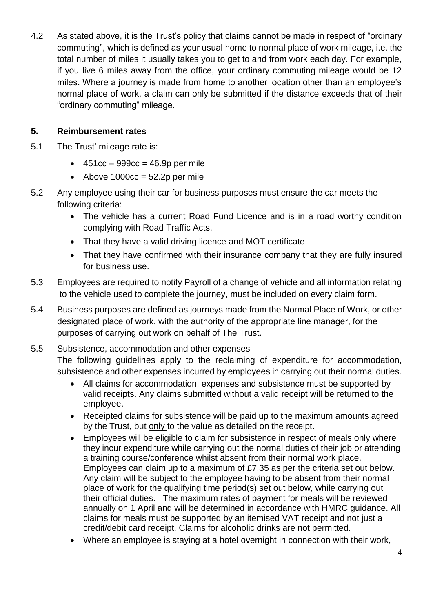4.2 As stated above, it is the Trust's policy that claims cannot be made in respect of "ordinary commuting", which is defined as your usual home to normal place of work mileage, i.e. the total number of miles it usually takes you to get to and from work each day. For example, if you live 6 miles away from the office, your ordinary commuting mileage would be 12 miles. Where a journey is made from home to another location other than an employee's normal place of work, a claim can only be submitted if the distance exceeds that of their "ordinary commuting" mileage.

## **5. Reimbursement rates**

- 5.1 The Trust' mileage rate is:
	- $\bullet$  451cc 999cc = 46.9p per mile
	- Above  $1000cc = 52.2p$  per mile
- 5.2 Any employee using their car for business purposes must ensure the car meets the following criteria:
	- The vehicle has a current Road Fund Licence and is in a road worthy condition complying with Road Traffic Acts.
	- That they have a valid driving licence and MOT certificate
	- That they have confirmed with their insurance company that they are fully insured for business use.
- 5.3 Employees are required to notify Payroll of a change of vehicle and all information relating to the vehicle used to complete the journey, must be included on every claim form.
- 5.4 Business purposes are defined as journeys made from the Normal Place of Work, or other designated place of work, with the authority of the appropriate line manager, for the purposes of carrying out work on behalf of The Trust.

## 5.5 Subsistence, accommodation and other expenses

The following guidelines apply to the reclaiming of expenditure for accommodation, subsistence and other expenses incurred by employees in carrying out their normal duties.

- All claims for accommodation, expenses and subsistence must be supported by valid receipts. Any claims submitted without a valid receipt will be returned to the employee.
- Receipted claims for subsistence will be paid up to the maximum amounts agreed by the Trust, but only to the value as detailed on the receipt.
- Employees will be eligible to claim for subsistence in respect of meals only where they incur expenditure while carrying out the normal duties of their job or attending a training course/conference whilst absent from their normal work place. Employees can claim up to a maximum of £7.35 as per the criteria set out below. Any claim will be subject to the employee having to be absent from their normal place of work for the qualifying time period(s) set out below, while carrying out their official duties. The maximum rates of payment for meals will be reviewed annually on 1 April and will be determined in accordance with HMRC guidance. All claims for meals must be supported by an itemised VAT receipt and not just a credit/debit card receipt. Claims for alcoholic drinks are not permitted.
- Where an employee is staying at a hotel overnight in connection with their work,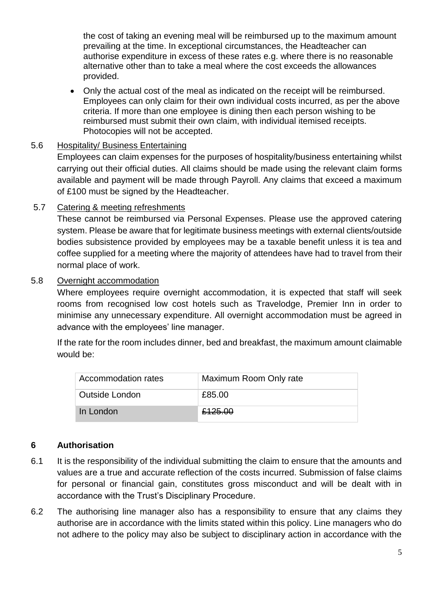the cost of taking an evening meal will be reimbursed up to the maximum amount prevailing at the time. In exceptional circumstances, the Headteacher can authorise expenditure in excess of these rates e.g. where there is no reasonable alternative other than to take a meal where the cost exceeds the allowances provided.

• Only the actual cost of the meal as indicated on the receipt will be reimbursed. Employees can only claim for their own individual costs incurred, as per the above criteria. If more than one employee is dining then each person wishing to be reimbursed must submit their own claim, with individual itemised receipts. Photocopies will not be accepted.

## 5.6 Hospitality/ Business Entertaining

Employees can claim expenses for the purposes of hospitality/business entertaining whilst carrying out their official duties. All claims should be made using the relevant claim forms available and payment will be made through Payroll. Any claims that exceed a maximum of £100 must be signed by the Headteacher.

## 5.7 Catering & meeting refreshments

These cannot be reimbursed via Personal Expenses. Please use the approved catering system. Please be aware that for legitimate business meetings with external clients/outside bodies subsistence provided by employees may be a taxable benefit unless it is tea and coffee supplied for a meeting where the majority of attendees have had to travel from their normal place of work.

## 5.8 Overnight accommodation

Where employees require overnight accommodation, it is expected that staff will seek rooms from recognised low cost hotels such as Travelodge, Premier Inn in order to minimise any unnecessary expenditure. All overnight accommodation must be agreed in advance with the employees' line manager.

If the rate for the room includes dinner, bed and breakfast, the maximum amount claimable would be:

| Accommodation rates | Maximum Room Only rate |
|---------------------|------------------------|
| Outside London      | £85.00                 |
| In London           | £125.00                |

## **6 Authorisation**

- 6.1 It is the responsibility of the individual submitting the claim to ensure that the amounts and values are a true and accurate reflection of the costs incurred. Submission of false claims for personal or financial gain, constitutes gross misconduct and will be dealt with in accordance with the Trust's Disciplinary Procedure.
- 6.2 The authorising line manager also has a responsibility to ensure that any claims they authorise are in accordance with the limits stated within this policy. Line managers who do not adhere to the policy may also be subject to disciplinary action in accordance with the